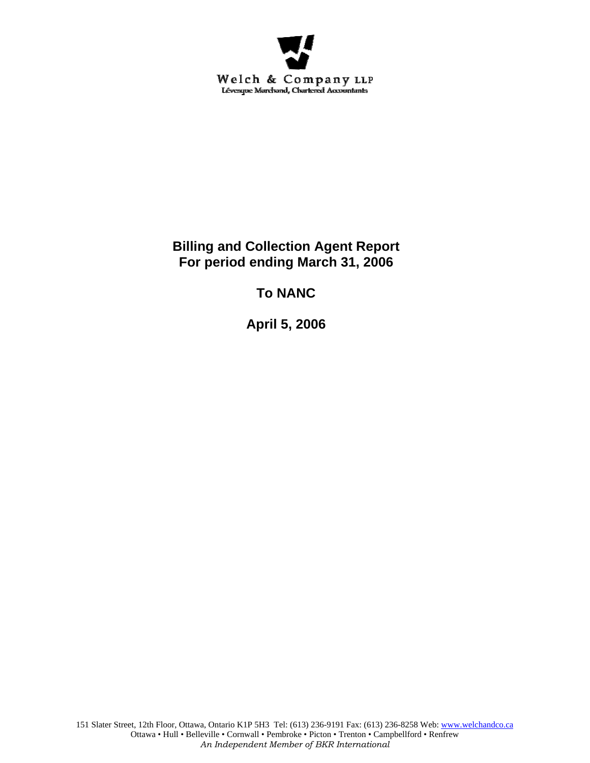

## **Billing and Collection Agent Report For period ending March 31, 2006**

# **To NANC**

**April 5, 2006**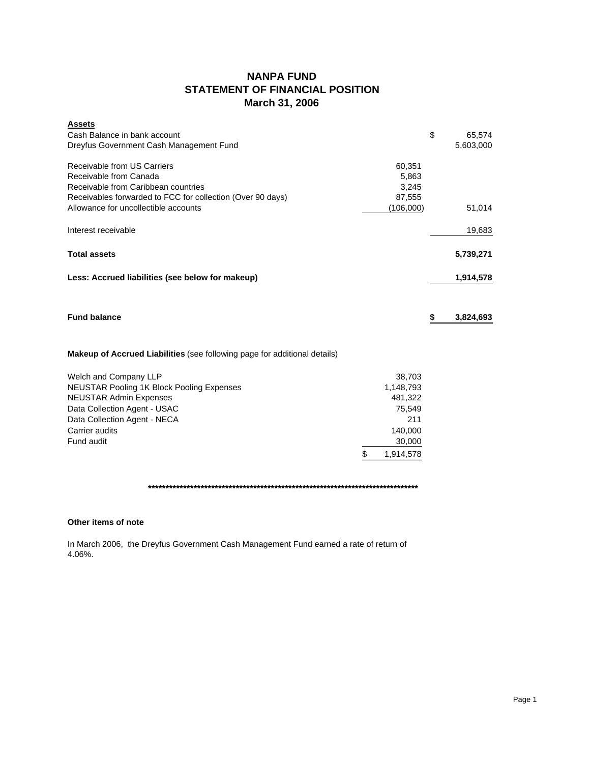### **NANPA FUND STATEMENT OF FINANCIAL POSITION March 31, 2006**

| <b>Assets</b><br>Cash Balance in bank account                                    |           | \$<br>65,574    |
|----------------------------------------------------------------------------------|-----------|-----------------|
| Dreyfus Government Cash Management Fund                                          |           | 5,603,000       |
| Receivable from US Carriers                                                      | 60,351    |                 |
| Receivable from Canada                                                           | 5,863     |                 |
| Receivable from Caribbean countries                                              | 3,245     |                 |
| Receivables forwarded to FCC for collection (Over 90 days)                       | 87,555    |                 |
| Allowance for uncollectible accounts                                             | (106,000) | 51,014          |
| Interest receivable                                                              |           | 19,683          |
| <b>Total assets</b>                                                              |           | 5,739,271       |
| Less: Accrued liabilities (see below for makeup)                                 |           | 1,914,578       |
| <b>Fund balance</b>                                                              |           | \$<br>3,824,693 |
| <b>Makeup of Accrued Liabilities</b> (see following page for additional details) |           |                 |
| Welch and Company LLP                                                            | 38,703    |                 |
| <b>NEUSTAR Pooling 1K Block Pooling Expenses</b>                                 | 1,148,793 |                 |
| <b>NEUSTAR Admin Expenses</b>                                                    | 481,322   |                 |
| Data Collection Agent - USAC                                                     | 75,549    |                 |
| Data Collection Agent - NECA                                                     | 211       |                 |
| Carrier audits                                                                   | 140,000   |                 |
| Fund audit                                                                       | 30,000    |                 |

**\*\*\*\*\*\*\*\*\*\*\*\*\*\*\*\*\*\*\*\*\*\*\*\*\*\*\*\*\*\*\*\*\*\*\*\*\*\*\*\*\*\*\*\*\*\*\*\*\*\*\*\*\*\*\*\*\*\*\*\*\*\*\*\*\*\*\*\*\*\*\*\*\*\*\*\*\***

\$ 1,914,578

### **Other items of note**

In March 2006, the Dreyfus Government Cash Management Fund earned a rate of return of 4.06%.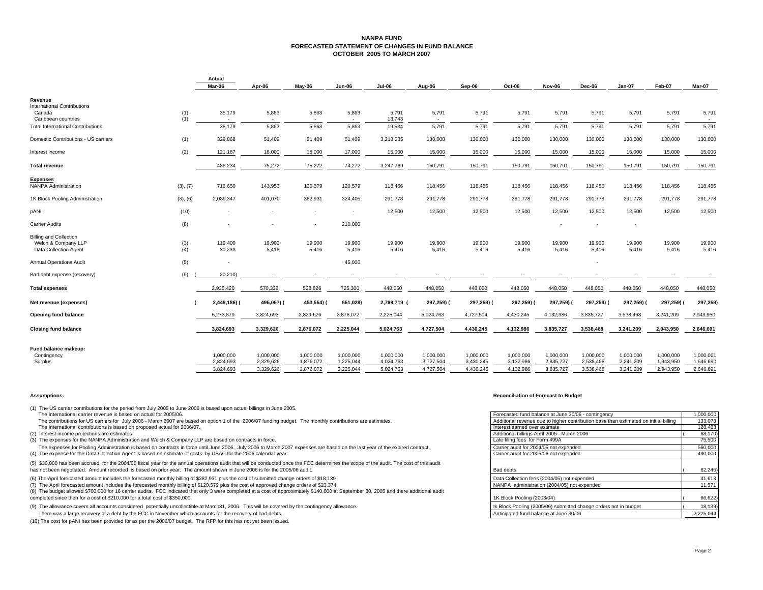#### **NANPA FUND FORECASTED STATEMENT OF CHANGES IN FUND BALANCEOCTOBER 2005 TO MARCH 2007**

|                                          |          | Actual                 |                          |                          |                          |                        |                        |                        |                        |                        |                        |                        |                        |                        |
|------------------------------------------|----------|------------------------|--------------------------|--------------------------|--------------------------|------------------------|------------------------|------------------------|------------------------|------------------------|------------------------|------------------------|------------------------|------------------------|
|                                          |          | Mar-06                 | Apr-06                   | May-06                   | <b>Jun-06</b>            | <b>Jul-06</b>          | Aug-06                 | Sep-06                 | Oct-06                 | Nov-06                 | Dec-06                 | Jan-07                 | Feb-07                 | Mar-07                 |
| Revenue                                  |          |                        |                          |                          |                          |                        |                        |                        |                        |                        |                        |                        |                        |                        |
| <b>International Contributions</b>       |          |                        |                          |                          |                          |                        |                        |                        |                        |                        |                        |                        |                        |                        |
| Canada                                   | (1)      | 35,179                 | 5,863                    | 5,863                    | 5,863                    | 5,791                  | 5,791                  | 5,791                  | 5,791                  | 5,791                  | 5,791                  | 5,791                  | 5,791                  | 5,791                  |
| Caribbean countries                      | (1)      | $\sim$                 | $\overline{\phantom{a}}$ | $\overline{\phantom{a}}$ | $\overline{\phantom{a}}$ | 13,743                 | $\sim$                 | $\sim$                 | $\sim$                 |                        |                        |                        |                        | $\sim$                 |
| <b>Total International Contributions</b> |          | 35,179                 | 5,863                    | 5,863                    | 5,863                    | 19,534                 | 5,791                  | 5,791                  | 5,791                  | 5,791                  | 5,791                  | 5,791                  | 5,791                  | 5,791                  |
| Domestic Contributions - US carriers     | (1)      | 329,868                | 51,409                   | 51,409                   | 51,409                   | 3,213,235              | 130,000                | 130,000                | 130,000                | 130,000                | 130,000                | 130,000                | 130,000                | 130,000                |
| Interest income                          | (2)      | 121,187                | 18,000                   | 18,000                   | 17,000                   | 15,000                 | 15,000                 | 15,000                 | 15,000                 | 15,000                 | 15,000                 | 15,000                 | 15,000                 | 15,000                 |
| <b>Total revenue</b>                     |          | 486,234                | 75,272                   | 75,272                   | 74,272                   | 3,247,769              | 150,791                | 150,791                | 150,791                | 150,791                | 150,791                | 150,791                | 150,791                | 150,791                |
| <b>Expenses</b>                          |          |                        |                          |                          |                          |                        |                        |                        |                        |                        |                        |                        |                        |                        |
| <b>NANPA Administration</b>              | (3), (7) | 716,650                | 143,953                  | 120,579                  | 120,579                  | 118,456                | 118,456                | 118,456                | 118,456                | 118,456                | 118,456                | 118,456                | 118,456                | 118,456                |
| 1K Block Pooling Administration          | (3), (6) | 2,089,347              | 401,070                  | 382,931                  | 324,405                  | 291,778                | 291,778                | 291,778                | 291,778                | 291,778                | 291,778                | 291,778                | 291,778                | 291,778                |
| pANI                                     | (10)     |                        |                          |                          |                          | 12,500                 | 12,500                 | 12,500                 | 12,500                 | 12,500                 | 12,500                 | 12,500                 | 12,500                 | 12,500                 |
| <b>Carrier Audits</b>                    | (8)      |                        |                          |                          | 210,000                  |                        |                        |                        |                        |                        |                        |                        |                        |                        |
| <b>Billing and Collection</b>            |          |                        |                          |                          |                          |                        |                        |                        |                        |                        |                        |                        |                        |                        |
| Welch & Company LLP                      | (3)      | 119,400                | 19,900                   | 19,900                   | 19,900                   | 19,900                 | 19,900                 | 19,900                 | 19,900                 | 19,900                 | 19,900                 | 19,900                 | 19,900                 | 19,900                 |
| Data Collection Agent                    | (4)      | 30,233                 | 5,416                    | 5,416                    | 5,416                    | 5,416                  | 5,416                  | 5,416                  | 5,416                  | 5,416                  | 5,416                  | 5,416                  | 5,416                  | 5,416                  |
| <b>Annual Operations Audit</b>           | (5)      | $\sim$                 |                          |                          | 45,000                   |                        |                        |                        |                        |                        |                        |                        |                        |                        |
| Bad debt expense (recovery)              | (9)      | 20,210)                |                          |                          |                          |                        |                        |                        |                        |                        |                        |                        |                        |                        |
| <b>Total expenses</b>                    |          | 2,935,420              | 570,339                  | 528,826                  | 725,300                  | 448,050                | 448,050                | 448,050                | 448,050                | 448,050                | 448,050                | 448,050                | 448,050                | 448,050                |
| Net revenue (expenses)                   |          | 2,449,186) (           | 495,067) (               | 453,554) (               | 651,028)                 | 2,799,719              | 297,259)               | 297,259)               | 297,259)               | 297,259) (             | 297,259) (             | 297,259) (             | 297,259)               | 297,259)               |
| <b>Opening fund balance</b>              |          | 6,273,879              | 3,824,693                | 3,329,626                | 2,876,072                | 2,225,044              | 5,024,763              | 4,727,504              | 4,430,245              | 4,132,986              | 3,835,727              | 3,538,468              | 3,241,209              | 2,943,950              |
| <b>Closing fund balance</b>              |          | 3,824,693              | 3,329,626                | 2,876,072                | 2,225,044                | 5,024,763              | 4,727,504              | 4,430,245              | 4,132,986              | 3,835,727              | 3,538,468              | 3,241,209              | 2,943,950              | 2,646,691              |
|                                          |          |                        |                          |                          |                          |                        |                        |                        |                        |                        |                        |                        |                        |                        |
| Fund balance makeup:                     |          |                        |                          |                          |                          |                        |                        |                        |                        |                        |                        |                        |                        |                        |
| Contingency<br>Surplus                   |          | 1,000,000<br>2,824,693 | 1,000,000<br>2,329,626   | 1,000,000<br>1,876,072   | 1,000,000<br>1,225,044   | 1,000,000<br>4,024,763 | 1,000,000<br>3,727,504 | 1,000,000<br>3,430,245 | 1,000,000<br>3,132,986 | 1,000,000<br>2,835,727 | 1,000,000<br>2,538,468 | 1,000,000<br>2,241,209 | 1,000,000<br>1,943,950 | 1,000,001<br>1,646,690 |
|                                          |          |                        |                          |                          |                          |                        |                        |                        |                        |                        |                        |                        |                        |                        |
|                                          |          | 3,824,693              | 3,329,626                | 2,876,072                | 2,225,044                | 5,024,763              | 4,727,504              | 4,430,245              | 4,132,986              | 3,835,727              | 3,538,468              | 3,241,209              | 2,943,950              | 2,646,691              |

(1) The US carrier contributions for the period from July 2005 to June 2006 is based upon actual billings in June 2005. The International carrier revenue is based on actual for 2005/06.

The contributions for US carriers for July 2006 - March 2007 are based on option 1 of the 2006/07 funding budget. The monthly contributions are estimates. The International contributions is based on proposed actual for 2006/07.

(2) Interest income projections are estimates

(3) The expenses for the NANPA Administration and Welch & Company LLP are based on contracts in force.

The expenses for Pooling Administration is based on contracts in force until June 2006. July 2006 to March 2007 expenses are based on the last year of the expired contract. (4) The expense for the Data Collection Agent is based on estimate of costs by USAC for the 2006 calendar year.

(5) \$30,000 has been accrued for the 2004/05 fiscal year for the annual operations audit that will be conducted once the FCC determines the scope of the audit. The cost of this audit has not been negotiated. Amount recorded is based on prior year. The amount shown in June 2006 is for the 2005/06 audit.

(6) The April forecasted amount includes the forecasted monthly billing of \$382,931 plus the cost of submitted change orders of \$18,139

(7) The April forecasted amount includes the forecasted monthly billing of \$120,579 plus the cost of approved change orders of \$23,374.

(8) The budget allowed \$700,000 for 16 carrier audits. FCC indicated that only 3 were completed at a cost of approximately \$140,000 at September 30, 2005 and there additional audit completed since then for a cost of \$210,000 for a total cost of \$350,000.

(9) The allowance covers all accounts considered potentially uncollectible at March31, 2006. This will be covered by the contingency allowance. There was a large recovery of a debt by the FCC in November which accounts for the recovery of bad debts.

(10) The cost for pANI has been provided for as per the 2006/07 budget. The RFP for this has not yet been issued.

#### **Assumptions: Reconciliation of Forecast to Budget**

|                                                                                                                      | Forecasted fund balance at June 30/06 - contingency                                  | 000,000,1 |
|----------------------------------------------------------------------------------------------------------------------|--------------------------------------------------------------------------------------|-----------|
| e based on option 1 of the 2006/07 funding budget. The monthly contributions are estimates.                          | Additional revenue due to higher contribution base than estimated on initial billing | 133,073   |
| 2006/07.                                                                                                             | Interest earned over estimate                                                        | 128,463   |
|                                                                                                                      | Additional billings April 2005 - March 2006                                          | 68,170)   |
| pany LLP are based on contracts in force.                                                                            | Late filing fees for Form 499A                                                       | 75,500    |
| n force until June 2006. July 2006 to March 2007 expenses are based on the last year of the expired contract.        | Carrier audit for 2004/05 not expended                                               | 560,000   |
| of costs by USAC for the 2006 calendar year.                                                                         | Carrier audit for 2005/06 not expended                                               | 490,000   |
| nnual operations audit that will be conducted once the FCC determines the scope of the audit. The cost of this audit |                                                                                      |           |
| The amount shown in June 2006 is for the 2005/06 audit.                                                              | Bad debts                                                                            | 62,245    |
| ling of \$382,931 plus the cost of submitted change orders of \$18,139                                               | Data Collection fees (2004/05) not expended                                          | 41,613    |
| lling of \$120,579 plus the cost of approved change orders of \$23,374.                                              | NANPA administration (2004/05) not expended                                          | 11.571    |
| ed that only 3 were completed at a cost of approximately \$140,000 at September 30, 2005 and there additional audit  |                                                                                      |           |
| 000.                                                                                                                 | 1K Block Pooling (2003/04)                                                           | 66,622)   |
| lectible at March31, 2006. This will be covered by the contingency allowance.                                        | Ik Block Pooling (2005/06) submitted change orders not in budget                     | 18,139)   |
| which accounts for the recovery of bad debts.                                                                        | Anticipated fund balance at June 30/06                                               | 2.225.044 |